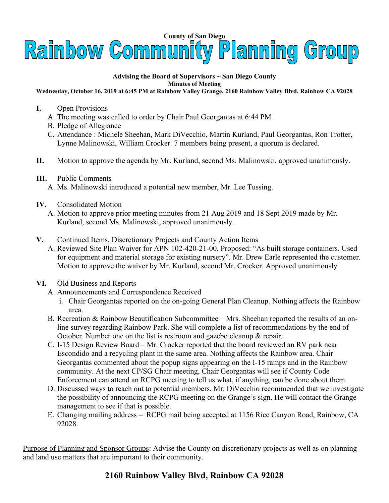

## **Advising the Board of Supervisors ~ San Diego County Minutes of Meeting**

## **Wednesday, October 16, 2019 at 6:45 PM at Rainbow Valley Grange, 2160 Rainbow Valley Blvd, Rainbow CA 92028**

- **I.** Open Provisions
	- A. The meeting was called to order by Chair Paul Georgantas at 6:44 PM
	- B. Pledge of Allegiance
	- C. Attendance : Michele Sheehan, Mark DiVecchio, Martin Kurland, Paul Georgantas, Ron Trotter, Lynne Malinowski, William Crocker. 7 members being present, a quorum is declared.
- **II.** Motion to approve the agenda by Mr. Kurland, second Ms. Malinowski, approved unanimously.
- **III.** Public Comments
	- A. Ms. Malinowski introduced a potential new member, Mr. Lee Tussing.
- **IV.** Consolidated Motion
	- A. Motion to approve prior meeting minutes from 21 Aug 2019 and 18 Sept 2019 made by Mr. Kurland, second Ms. Malinowski, approved unanimously.
- **V.** Continued Items, Discretionary Projects and County Action Items
	- A. Reviewed Site Plan Waiver for APN 102-420-21-00. Proposed: "As built storage containers. Used for equipment and material storage for existing nursery". Mr. Drew Earle represented the customer. Motion to approve the waiver by Mr. Kurland, second Mr. Crocker. Approved unanimously
- **VI.** Old Business and Reports
	- A. Announcements and Correspondence Received
		- i. Chair Georgantas reported on the on-going General Plan Cleanup. Nothing affects the Rainbow area.
	- B. Recreation & Rainbow Beautification Subcommittee Mrs. Sheehan reported the results of an online survey regarding Rainbow Park. She will complete a list of recommendations by the end of October. Number one on the list is restroom and gazebo cleanup & repair.
	- C. I-15 Design Review Board Mr. Crocker reported that the board reviewed an RV park near Escondido and a recycling plant in the same area. Nothing affects the Rainbow area. Chair Georgantas commented about the popup signs appearing on the I-15 ramps and in the Rainbow community. At the next CP/SG Chair meeting, Chair Georgantas will see if County Code Enforcement can attend an RCPG meeting to tell us what, if anything, can be done about them.
	- D. Discussed ways to reach out to potential members. Mr. DiVecchio recommended that we investigate the possibility of announcing the RCPG meeting on the Grange's sign. He will contact the Grange management to see if that is possible.
	- E. Changing mailing address RCPG mail being accepted at 1156 Rice Canyon Road, Rainbow, CA 92028.

Purpose of Planning and Sponsor Groups: Advise the County on discretionary projects as well as on planning and land use matters that are important to their community.

## **2160 Rainbow Valley Blvd, Rainbow CA 92028**